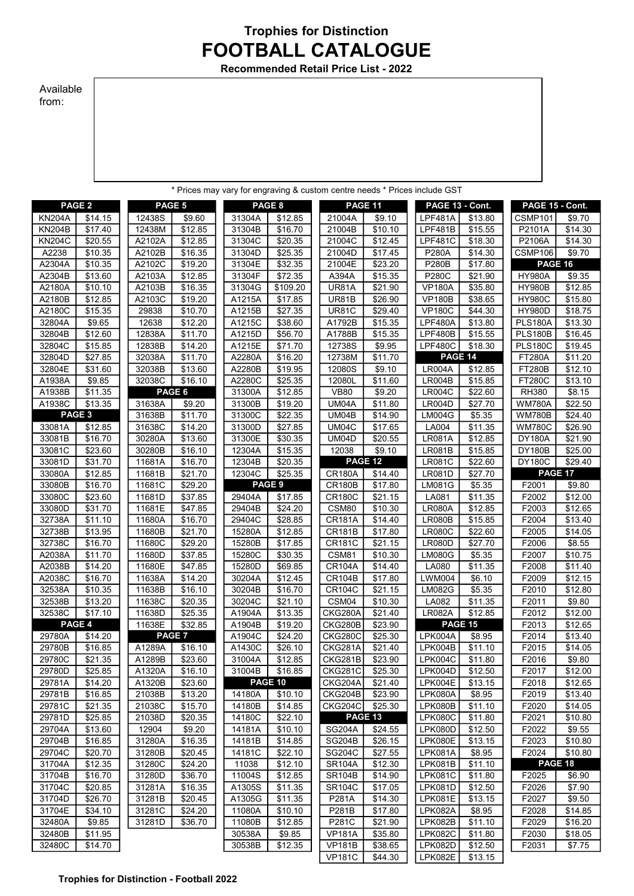## FOOTBALL CATALOGUE Trophies for Distinction

Recommended Retail Price List - 2022

## Available from:

|                                |                    |                  |                     |                  |                     |                                |                    | * Prices may vary for engraving & custom centre needs * Prices include GST |                     |                   |                    |
|--------------------------------|--------------------|------------------|---------------------|------------------|---------------------|--------------------------------|--------------------|----------------------------------------------------------------------------|---------------------|-------------------|--------------------|
|                                |                    |                  |                     |                  |                     |                                |                    |                                                                            |                     |                   |                    |
|                                | PAGE <sub>2</sub>  | PAGE 5           |                     |                  | PAGE 8              |                                | PAGE 11            | PAGE 13 - Cont.                                                            |                     | PAGE 15 - Cont.   |                    |
| <b>KN204A</b><br><b>KN204B</b> | \$14.15<br>\$17.40 | 12438S<br>12438M | 39.60<br>\$12.85    | 31304A<br>31304B | \$12.85<br>\$16.70  | 21004A<br>21004B               | \$9.10<br>\$10.10  | <b>LPF481A</b><br><b>LPF481B</b>                                           | \$13.80<br>\$15.55  | CSMP101<br>P2101A | \$9.70<br>\$14.30  |
| <b>KN204C</b>                  | 320.55             | A2102A           | \$12.85             | 31304C           | \$20.35             | 21004C                         | \$12.45            | <b>LPF481C</b>                                                             | \$18.30             | P2106A            | \$14.30            |
| A2238                          | \$10.35            | A2102B           | \$16.35             | 31304D           | \$25.35             | 21004D                         | \$17.45            | <b>P280A</b>                                                               | \$14.30             | CSMP106           | \$9.70             |
| A2304A                         | \$10.35            | A2102C           | \$19.20             | 31304E           | \$32.35             | 21004E                         | \$23.20            | <b>P280B</b>                                                               | \$17.80             | PAGE 16           |                    |
| A2304B                         | \$13.60            | A2103A           | \$12.85             | 31304F           | \$72.35             | A394A                          | \$15.35            | <b>P280C</b>                                                               | \$21.90             | <b>HY980A</b>     | \$9.35             |
| A2180A                         | \$10.10            | A2103B           | \$16.35             | 31304G           | \$109.20            | <b>UR81A</b>                   | \$21.90            | <b>VP180A</b>                                                              | \$35.80             | <b>HY980B</b>     | \$12.85            |
| A2180B                         | \$12.85            | A2103C           | \$19.20             | A1215A           | \$17.85             | <b>UR81B</b>                   | \$26.90            | <b>VP180B</b>                                                              | \$38.65             | <b>HY980C</b>     | \$15.80            |
| A2180C                         | 315.35             | 29838            | \$10.70             | A1215B           | \$27.35             | <b>UR81C</b>                   | \$29.40            | <b>VP180C</b>                                                              | \$44.30             | <b>HY980D</b>     | \$18.75            |
| 32804A                         | \$9.65             | 12638            | \$12.20             | A1215C           | \$38.60             | A1792B                         | \$15.35            | LPF480A                                                                    | \$13.80             | <b>PLS180A</b>    | \$13.30            |
| 32804B                         | \$12.60            | 12838A           | $\overline{$}11.70$ | A1215D           | \$56.70             | A1788B                         | \$15.35            | <b>LPF480B</b>                                                             | \$15.55             | <b>PLS180B</b>    | \$16.45            |
| 32804C                         | \$15.85            | 12838B           | \$14.20             | A1215E           | \$71.70             | 12738S                         | \$9.95             | <b>LPF480C</b>                                                             | \$18.30             | <b>PLS180C</b>    | \$19.45            |
| 32804D                         | \$27.85            | 32038A           | \$11.70             | A2280A           | \$16.20             | 12738M                         | \$11.70            | PAGE 14                                                                    |                     | <b>FT280A</b>     | \$11.20            |
| 32804E                         | \$31.60            | 32038B           | $\overline{$}13.60$ | A2280B           | \$19.95             | 12080S                         | \$9.10             | <b>LR004A</b>                                                              | \$12.85             | <b>FT280B</b>     | \$12.10            |
| A1938A                         | \$9.85             | 32038C           | \$16.10             | A2280C           | \$25.35             | 12080L                         | \$11.60            | <b>LR004B</b>                                                              | \$15.85             | <b>FT280C</b>     | \$13.10            |
| A1938B                         | \$11.35            |                  | PAGE 6              | 31300A           | \$12.85             | <b>VB80</b>                    | \$9.20             | <b>LR004C</b>                                                              | \$22.60             | <b>RH380</b>      | \$8.15             |
| A1938C                         | \$13.35            | 31638A           | \$9.20              | 31300B           | \$19.20             | UM04A                          | \$11.80            | LR004D                                                                     | \$27.70             | <b>WM780A</b>     | \$22.50            |
|                                | PAGE <sub>3</sub>  | 31638B           | \$11.70             | 31300C           | \$22.35             | UM04B                          | \$14.90            | <b>LM004G</b>                                                              | \$5.35              | <b>WM780B</b>     | \$24.40            |
| 33081A                         | \$12.85            | 31638C           | \$14.20             | 31300D           | \$27.85             | UM04C                          | \$17.65            | LA004                                                                      | \$11.35             | <b>WM780C</b>     | 326.90             |
| 33081B                         | \$16.70            | 30280A           | $\overline{$}13.60$ | 31300E           | \$30.35             | <b>UM04D</b>                   | \$20.55            | <b>LR081A</b>                                                              | \$12.85             | <b>DY180A</b>     | \$21.90            |
| 33081C                         | \$23.60            | 30280B           | \$16.10             | 12304A           | \$15.35             | 12038                          | \$9.10             | LR081B                                                                     | \$15.85             | <b>DY180B</b>     | \$25.00            |
| 33081D                         | \$31.70            | 11681A           | \$16.70             | 12304B           | \$20.35             |                                | PAGE 12            | <b>LR081C</b>                                                              | \$22.60             | <b>DY180C</b>     | \$29.40            |
| 33080A                         | \$12.85            | 11681B           | \$21.70             | 12304C           | \$25.35             | <b>CR180A</b>                  | \$14.40            | <b>LR081D</b>                                                              | \$27.70             | PAGE 17           |                    |
| 33080B                         | \$16.70            | 11681C           | \$29.20             |                  | PAGE 9              | <b>CR180B</b>                  | \$17.80            | LM081G                                                                     | \$5.35              | F2001             | \$9.80             |
| 33080C                         | \$23.60            | 11681D           | 337.85              | 29404A           | \$17.85             | <b>CR180C</b>                  | 321.15             | LA081                                                                      | \$11.35             | F2002             | \$12.00            |
| 33080D                         | \$31.70            | 11681E           | \$47.85             | 29404B           | \$24.20             | CSM80                          | \$10.30            | <b>LR080A</b>                                                              | \$12.85             | F2003             | \$12.65            |
| 32738A                         | \$11.10            | 11680A           | \$16.70             | 29404C           | \$28.85             | <b>CR181A</b>                  | \$14.40            | <b>LR080B</b>                                                              | \$15.85             | F2004             | \$13.40            |
| 32738B                         | \$13.95            | 11680B           | \$21.70             | 15280A           | \$12.85             | <b>CR181B</b>                  | \$17.80            | <b>LR080C</b>                                                              | \$22.60             | F2005             | \$14.05            |
| 32738C                         | \$16.70            | 11680C           | \$29.20             | 15280B           | \$17.85             | <b>CR181C</b>                  | \$21.15            | <b>LR080D</b>                                                              | \$27.70             | F2006             | \$8.55             |
| A2038A                         | \$11.70            | 11680D           | 37.85               | 15280C           | \$30.35             | CSM81                          | \$10.30            | <b>LM080G</b>                                                              | \$5.35              | F2007             | \$10.75            |
| A2038B                         | \$14.20            | 11680E<br>11638A | \$47.85             | 15280D<br>30204A | \$69.85             | <b>CR104A</b><br><b>CR104B</b> | \$14.40            | LA080<br><b>LWM004</b>                                                     | \$11.35             | F2008<br>F2009    | \$11.40            |
| A2038C<br>32538A               | \$16.70<br>\$10.35 | 11638B           | \$14.20<br>\$16.10  | 30204B           | \$12.45<br>\$16.70  | <b>CR104C</b>                  | \$17.80<br>\$21.15 | <b>LM082G</b>                                                              | \$6.10<br>\$5.35    | F2010             | \$12.15<br>\$12.80 |
| 32538B                         | \$13.20            | 11638C           | \$20.35             | 30204C           | $\overline{$}21.10$ | CSM04                          | \$10.30            | LA082                                                                      | $\overline{$}11.35$ | F2011             | \$9.80             |
| 32538C                         | \$17.10            | 11638D           | \$25.35             | A1904A           | \$13.35             | CKG280A                        | \$21.40            | <b>LR082A</b>                                                              | \$12.85             | F2012             | \$12.00            |
|                                | PAGE 4             | 11638E           | \$32.85             | A1904B           | \$19.20             | <b>CKG280B</b>                 | \$23.90            | PAGE 15                                                                    |                     | F2013             | \$12.65            |
| 29780A                         | \$14.20            |                  | PAGE 7              | A1904C           | \$24.20             | <b>CKG280C</b>                 | \$25.30            | LPK004A                                                                    | \$8.95              | F2014             | \$13.40            |
| 29780B                         | \$16.85            | A1289A           | \$16.10             | A1430C           | \$26.10             | CKG281A                        | \$21.40            | LPK004B                                                                    | \$11.10             | F2015             | \$14.05            |
| 29780C                         | \$21.35            | A1289B           | \$23.60             | 31004A           | \$12.85             | CKG281B                        | \$23.90            | LPK004C                                                                    | \$11.80             | F2016             | \$9.80             |
| 29780D                         | \$25.85            | A1320A           | \$16.10             | 31004B           | \$16.85             | <b>CKG281C</b>                 | \$25.30            | LPK004D                                                                    | \$12.50             | F2017             | \$12.00            |
| 29781A                         | \$14.20            | A1320B           | \$23.60             |                  | PAGE 10             | CKG204A                        | \$21.40            | LPK004E                                                                    | \$13.15             | F2018             | \$12.65            |
| 29781B                         | \$16.85            | 21038B           | \$13.20             | 14180A           | \$10.10             | CKG204B                        | \$23.90            | LPK080A                                                                    | \$8.95              | F2019             | \$13.40            |
| 29781C                         | \$21.35            | 21038C           | \$15.70             | 14180B           | \$14.85             | <b>CKG204C</b>                 | \$25.30            | LPK080B                                                                    | \$11.10             | F2020             | \$14.05            |
| 29781D                         | \$25.85            | 21038D           | \$20.35             | 14180C           | \$22.10             |                                | <b>PAGE 13</b>     | LPK080C                                                                    | \$11.80             | F2021             | \$10.80            |
| 29704A                         | \$13.60            | 12904            | \$9.20              | 14181A           | \$10.10             | <b>SG204A</b>                  | \$24.55            | LPK080D                                                                    | \$12.50             | F2022             | \$9.55             |
| 29704B                         | \$16.85            | 31280A           | \$16.35             | 14181B           | \$14.85             | <b>SG204B</b>                  | \$26.15            | LPK080E                                                                    | \$13.15             | F2023             | \$10.80            |
| 29704C                         | \$20.70            | 31280B           | \$20.45             | 14181C           | \$22.10             | <b>SG204C</b>                  | \$27.55            | <b>LPK081A</b>                                                             | \$8.95              | F2024             | \$10.80            |
| 31704A                         | \$12.35            | 31280C           | \$24.20             | 11038            | \$12.10             | <b>SR104A</b>                  | \$12.30            | LPK081B                                                                    | \$11.10             |                   | PAGE 18            |
| 31704B                         | \$16.70            | 31280D           | \$36.70             | 11004S           | \$12.85             | <b>SR104B</b>                  | \$14.90            | <b>LPK081C</b>                                                             | \$11.80             | F2025             | \$6.90             |
| 31704C                         | \$20.85            | 31281A           | \$16.35             | A1305S           | \$11.35             | <b>SR104C</b>                  | \$17.05            | LPK081D                                                                    | \$12.50             | F2026             | \$7.90             |
| 31704D                         | \$26.70            | 31281B           | \$20.45             | A1305G           | \$11.35             | P281A                          | \$14.30            | LPK081E                                                                    | \$13.15             | F2027             | \$9.50             |
| 31704E                         | \$34.10            | 31281C           | \$24.20             | 11080A           | \$10.10             | P281B                          | \$17.80            | LPK082A                                                                    | \$8.95              | F2028             | \$14.85            |
| 32480A                         | \$9.85             | 31281D           | \$36.70             | 11080B           | \$12.85             | P281C                          | \$21.90            | LPK082B                                                                    | \$11.10             | F2029             | \$16.20            |
| 32480B                         | \$11.95            |                  |                     | 30538A           | \$9.85              | <b>VP181A</b>                  | \$35.80            | <b>LPK082C</b>                                                             | \$11.80             | F2030             | \$18.05            |
| 32480C                         | \$14.70            |                  |                     | 30538B           | \$12.35             | <b>VP181B</b>                  | \$38.65            | LPK082D                                                                    | \$12.50             | F2031             | \$7.75             |

VP181C | \$44.30 | LPK082E | \$13.15